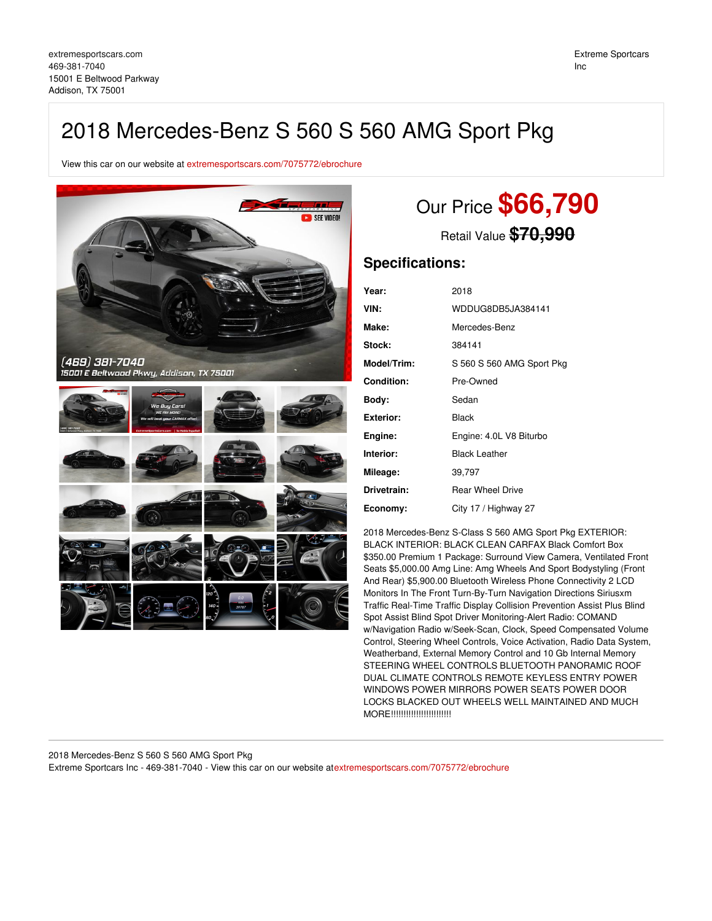## 2018 Mercedes-Benz S 560 S 560 AMG Sport Pkg

View this car on our website at [extremesportscars.com/7075772/ebrochure](https://extremesportscars.com/vehicle/7075772/2018-mercedes-benz-s-560-s-560-amg-sport-pkg-addison-tx-75001/7075772/ebrochure)



# Our Price **\$66,790**

Retail Value **\$70,990**

### **Specifications:**

| Year:         | 2018                      |
|---------------|---------------------------|
| VIN:          | WDDUG8DB5JA384141         |
| Make:         | Mercedes-Benz             |
| <b>Stock:</b> | 384141                    |
| Model/Trim:   | S 560 S 560 AMG Sport Pkg |
| Condition:    | Pre-Owned                 |
| Body:         | Sedan                     |
| Exterior:     | Black                     |
| Engine:       | Engine: 4.0L V8 Biturbo   |
| Interior:     | <b>Black Leather</b>      |
| Mileage:      | 39,797                    |
| Drivetrain:   | <b>Rear Wheel Drive</b>   |
| Economy:      | City 17 / Highway 27      |
|               |                           |

2018 Mercedes-Benz S-Class S 560 AMG Sport Pkg EXTERIOR: BLACK INTERIOR: BLACK CLEAN CARFAX Black Comfort Box \$350.00 Premium 1 Package: Surround View Camera, Ventilated Front Seats \$5,000.00 Amg Line: Amg Wheels And Sport Bodystyling (Front And Rear) \$5,900.00 Bluetooth Wireless Phone Connectivity 2 LCD Monitors In The Front Turn-By-Turn Navigation Directions Siriusxm Traffic Real-Time Traffic Display Collision Prevention Assist Plus Blind Spot Assist Blind Spot Driver Monitoring-Alert Radio: COMAND w/Navigation Radio w/Seek-Scan, Clock, Speed Compensated Volume Control, Steering Wheel Controls, Voice Activation, Radio Data System, Weatherband, External Memory Control and 10 Gb Internal Memory STEERING WHEEL CONTROLS BLUETOOTH PANORAMIC ROOF DUAL CLIMATE CONTROLS REMOTE KEYLESS ENTRY POWER WINDOWS POWER MIRRORS POWER SEATS POWER DOOR LOCKS BLACKED OUT WHEELS WELL MAINTAINED AND MUCH MORE!!!!!!!!!!!!!!!!!!!!!!!!

2018 Mercedes-Benz S 560 S 560 AMG Sport Pkg Extreme Sportcars Inc - 469-381-7040 - View this car on our website at[extremesportscars.com/7075772/ebrochure](https://extremesportscars.com/vehicle/7075772/2018-mercedes-benz-s-560-s-560-amg-sport-pkg-addison-tx-75001/7075772/ebrochure)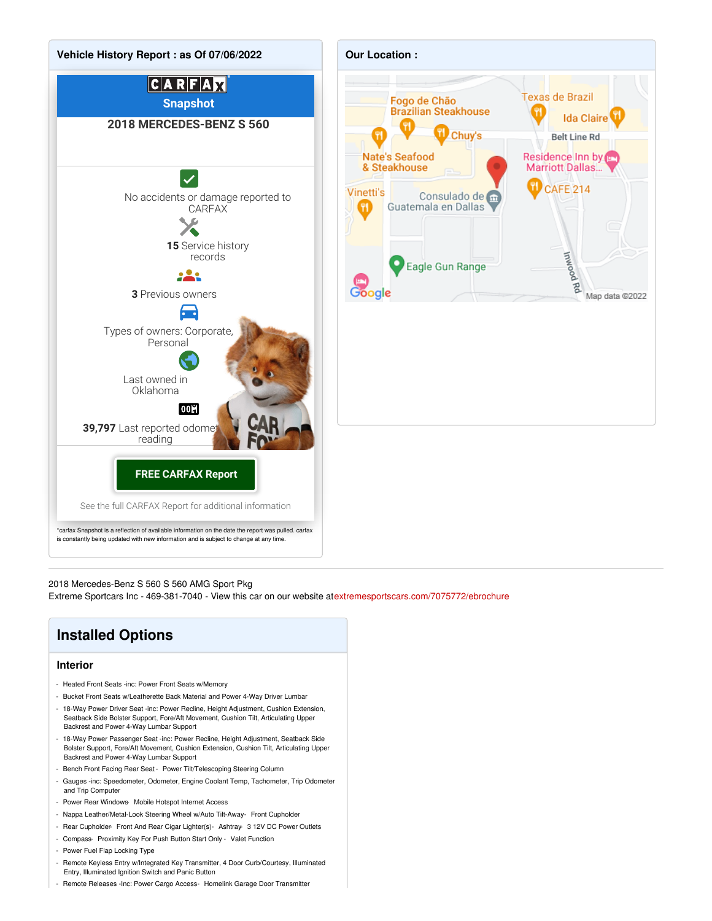

2018 Mercedes-Benz S 560 S 560 AMG Sport Pkg

Extreme Sportcars Inc - 469-381-7040 - View this car on our website at[extremesportscars.com/7075772/ebrochure](https://extremesportscars.com/vehicle/7075772/2018-mercedes-benz-s-560-s-560-amg-sport-pkg-addison-tx-75001/7075772/ebrochure)

### **Installed Options**

#### **Interior**

- Heated Front Seats -inc: Power Front Seats w/Memory
- Bucket Front Seats w/Leatherette Back Material and Power 4-Way Driver Lumbar
- 18-Way Power Driver Seat -inc: Power Recline, Height Adjustment, Cushion Extension, Seatback Side Bolster Support, Fore/Aft Movement, Cushion Tilt, Articulating Upper Backrest and Power 4-Way Lumbar Support
- 18-Way Power Passenger Seat -inc: Power Recline, Height Adjustment, Seatback Side Bolster Support, Fore/Aft Movement, Cushion Extension, Cushion Tilt, Articulating Upper Backrest and Power 4-Way Lumbar Support
- Bench Front Facing Rear Seat Power Tilt/Telescoping Steering Column
- Gauges -inc: Speedometer, Odometer, Engine Coolant Temp, Tachometer, Trip Odometer and Trip Computer
- Power Rear Windows- Mobile Hotspot Internet Access
- Nappa Leather/Metal-Look Steering Wheel w/Auto Tilt-Away- Front Cupholder
- Rear Cupholder- Front And Rear Cigar Lighter(s)- Ashtray- 3 12V DC Power Outlets
- Compass- Proximity Key For Push Button Start Only Valet Function
- Power Fuel Flap Locking Type
- Remote Keyless Entry w/Integrated Key Transmitter, 4 Door Curb/Courtesy, Illuminated Entry, Illuminated Ignition Switch and Panic Button
- Remote Releases -Inc: Power Cargo Access- Homelink Garage Door Transmitter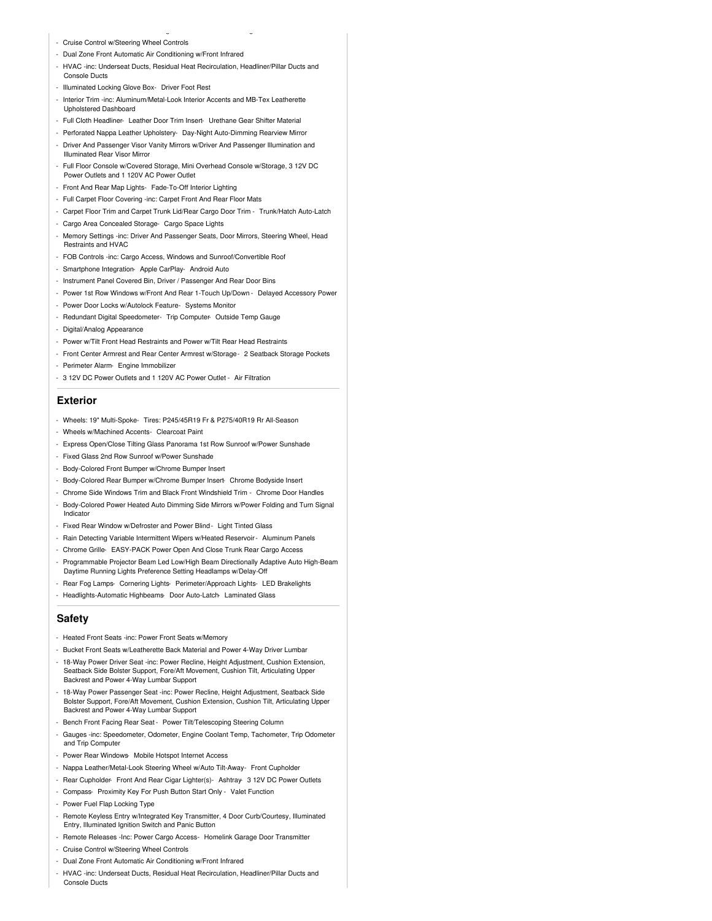- Cruise Control w/Steering Wheel Controls
- Dual Zone Front Automatic Air Conditioning w/Front Infrared
- HVAC -inc: Underseat Ducts, Residual Heat Recirculation, Headliner/Pillar Ducts and Console Ducts

- Remote Releases -Inc: Power Cargo Access- Homelink Garage Door Transmitter

- Illuminated Locking Glove Box- Driver Foot Rest
- Interior Trim -inc: Aluminum/Metal-Look Interior Accents and MB-Tex Leatherette Upholstered Dashboard
- Full Cloth Headliner- Leather Door Trim Insert- Urethane Gear Shifter Material
- Perforated Nappa Leather Upholstery- Day-Night Auto-Dimming Rearview Mirror
- Driver And Passenger Visor Vanity Mirrors w/Driver And Passenger Illumination and Illuminated Rear Visor Mirror
- Full Floor Console w/Covered Storage, Mini Overhead Console w/Storage, 3 12V DC Power Outlets and 1 120V AC Power Outlet
- Front And Rear Map Lights- Fade-To-Off Interior Lighting
- Full Carpet Floor Covering -inc: Carpet Front And Rear Floor Mats
- Carpet Floor Trim and Carpet Trunk Lid/Rear Cargo Door Trim Trunk/Hatch Auto-Latch
- Cargo Area Concealed Storage- Cargo Space Lights
- Memory Settings -inc: Driver And Passenger Seats, Door Mirrors, Steering Wheel, Head Restraints and HVAC
- FOB Controls -inc: Cargo Access, Windows and Sunroof/Convertible Roof
- Smartphone Integration- Apple CarPlay- Android Auto
- Instrument Panel Covered Bin, Driver / Passenger And Rear Door Bins
- Power 1st Row Windows w/Front And Rear 1-Touch Up/Down Delayed Accessory Power
- Power Door Locks w/Autolock Feature- Systems Monitor
- Redundant Digital Speedometer- Trip Computer- Outside Temp Gauge
- Digital/Analog Appearance
- Power w/Tilt Front Head Restraints and Power w/Tilt Rear Head Restraints
- Front Center Armrest and Rear Center Armrest w/Storage- 2 Seatback Storage Pockets
- Perimeter Alarm- Engine Immobilizer
- 3 12V DC Power Outlets and 1 120V AC Power Outlet Air Filtration

#### **Exterior**

- Wheels: 19" Multi-Spoke- Tires: P245/45R19 Fr & P275/40R19 Rr All-Season
- Wheels w/Machined Accents- Clearcoat Paint
- Express Open/Close Tilting Glass Panorama 1st Row Sunroof w/Power Sunshade
- Fixed Glass 2nd Row Sunroof w/Power Sunshade
- Body-Colored Front Bumper w/Chrome Bumper Insert
- Body-Colored Rear Bumper w/Chrome Bumper Insert- Chrome Bodyside Insert
- Chrome Side Windows Trim and Black Front Windshield Trim Chrome Door Handles
- Body-Colored Power Heated Auto Dimming Side Mirrors w/Power Folding and Turn Signal Indicator
- Fixed Rear Window w/Defroster and Power Blind Light Tinted Glass
- Rain Detecting Variable Intermittent Wipers w/Heated Reservoir- Aluminum Panels
- Chrome Grille- EASY-PACK Power Open And Close Trunk Rear Cargo Access
- Programmable Projector Beam Led Low/High Beam Directionally Adaptive Auto High-Beam Daytime Running Lights Preference Setting Headlamps w/Delay-Off
- Rear Fog Lamps- Cornering Lights- Perimeter/Approach Lights- LED Brakelights
- Headlights-Automatic Highbeams- Door Auto-Latch- Laminated Glass

#### **Safety**

- Heated Front Seats -inc: Power Front Seats w/Memory
- Bucket Front Seats w/Leatherette Back Material and Power 4-Way Driver Lumbar
- 18-Way Power Driver Seat -inc: Power Recline, Height Adjustment, Cushion Extension, Seatback Side Bolster Support, Fore/Aft Movement, Cushion Tilt, Articulating Upper Backrest and Power 4-Way Lumbar Support
- 18-Way Power Passenger Seat -inc: Power Recline, Height Adjustment, Seatback Side Bolster Support, Fore/Aft Movement, Cushion Extension, Cushion Tilt, Articulating Upper Backrest and Power 4-Way Lumbar Support
- Bench Front Facing Rear Seat Power Tilt/Telescoping Steering Column
- Gauges -inc: Speedometer, Odometer, Engine Coolant Temp, Tachometer, Trip Odometer and Trip Computer
- Power Rear Windows- Mobile Hotspot Internet Access
- Nappa Leather/Metal-Look Steering Wheel w/Auto Tilt-Away- Front Cupholder
- Rear Cupholder- Front And Rear Cigar Lighter(s) Ashtray- 3 12V DC Power Outlets
- Compass- Proximity Key For Push Button Start Only Valet Function
- Power Fuel Flap Locking Type
- Remote Keyless Entry w/Integrated Key Transmitter, 4 Door Curb/Courtesy, Illuminated Entry, Illuminated Ignition Switch and Panic Button
- Remote Releases -Inc: Power Cargo Access- Homelink Garage Door Transmitter
- Cruise Control w/Steering Wheel Controls
- Dual Zone Front Automatic Air Conditioning w/Front Infrared
- HVAC -inc: Underseat Ducts, Residual Heat Recirculation, Headliner/Pillar Ducts and Console Ducts